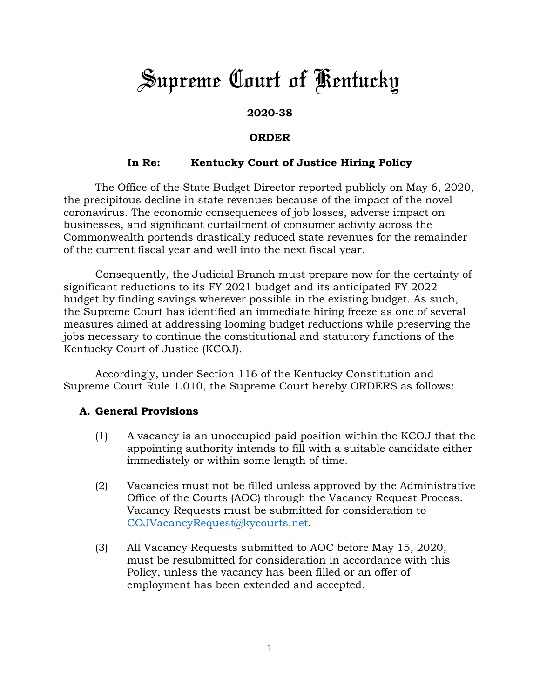# *Supreme Court of Kentucky*

## **2020-38**

### **ORDER**

## **In Re: Kentucky Court of Justice Hiring Policy**

The Office of the State Budget Director reported publicly on May 6, 2020, the precipitous decline in state revenues because of the impact of the novel coronavirus. The economic consequences of job losses, adverse impact on businesses, and significant curtailment of consumer activity across the Commonwealth portends drastically reduced state revenues for the remainder of the current fiscal year and well into the next fiscal year.

Consequently, the Judicial Branch must prepare now for the certainty of significant reductions to its FY 2021 budget and its anticipated FY 2022 budget by finding savings wherever possible in the existing budget. As such, the Supreme Court has identified an immediate hiring freeze as one of several measures aimed at addressing looming budget reductions while preserving the jobs necessary to continue the constitutional and statutory functions of the Kentucky Court of Justice (KCOJ).

Accordingly, under Section 116 of the Kentucky Constitution and Supreme Court Rule 1.010, the Supreme Court hereby ORDERS as follows:

#### **A. General Provisions**

- (1) A vacancy is an unoccupied paid position within the KCOJ that the appointing authority intends to fill with a suitable candidate either immediately or within some length of time.
- (2) Vacancies must not be filled unless approved by the Administrative Office of the Courts (AOC) through the Vacancy Request Process. Vacancy Requests must be submitted for consideration to [COJVacancyRequest@kycourts.net.](mailto:COJVacancyRequest@kycourts.net)
- (3) All Vacancy Requests submitted to AOC before May 15, 2020, must be resubmitted for consideration in accordance with this Policy, unless the vacancy has been filled or an offer of employment has been extended and accepted.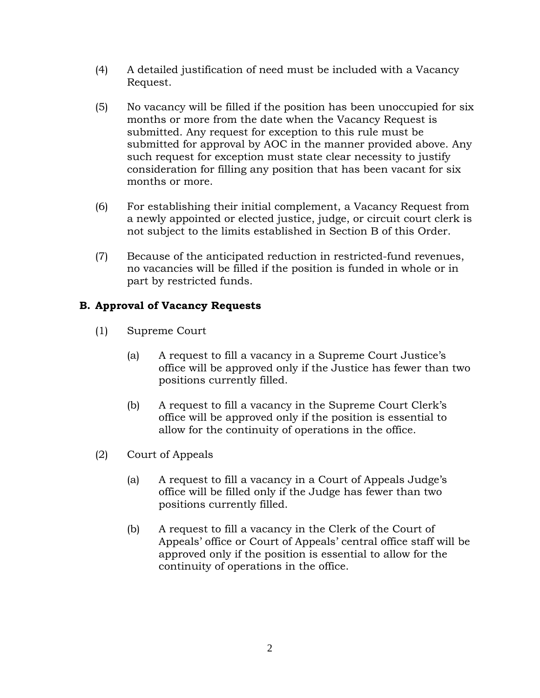- (4) A detailed justification of need must be included with a Vacancy Request.
- (5) No vacancy will be filled if the position has been unoccupied for six months or more from the date when the Vacancy Request is submitted. Any request for exception to this rule must be submitted for approval by AOC in the manner provided above. Any such request for exception must state clear necessity to justify consideration for filling any position that has been vacant for six months or more.
- (6) For establishing their initial complement, a Vacancy Request from a newly appointed or elected justice, judge, or circuit court clerk is not subject to the limits established in Section B of this Order.
- (7) Because of the anticipated reduction in restricted-fund revenues, no vacancies will be filled if the position is funded in whole or in part by restricted funds.

# **B. Approval of Vacancy Requests**

- (1) Supreme Court
	- (a) A request to fill a vacancy in a Supreme Court Justice's office will be approved only if the Justice has fewer than two positions currently filled.
	- (b) A request to fill a vacancy in the Supreme Court Clerk's office will be approved only if the position is essential to allow for the continuity of operations in the office.
- (2) Court of Appeals
	- (a) A request to fill a vacancy in a Court of Appeals Judge's office will be filled only if the Judge has fewer than two positions currently filled.
	- (b) A request to fill a vacancy in the Clerk of the Court of Appeals' office or Court of Appeals' central office staff will be approved only if the position is essential to allow for the continuity of operations in the office.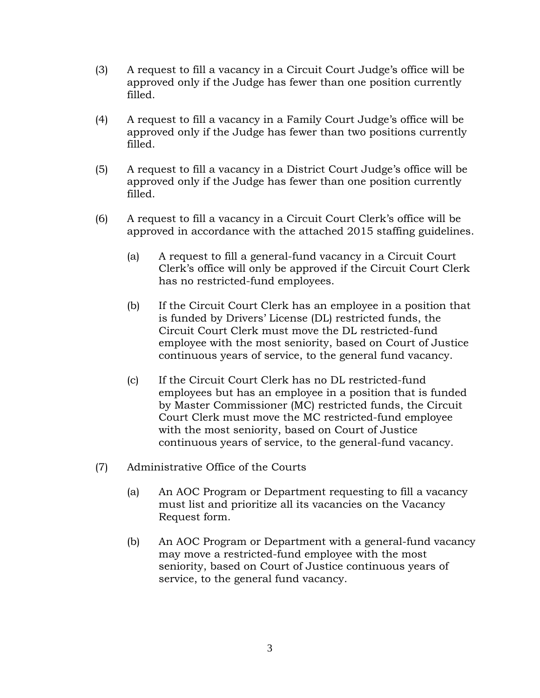- (3) A request to fill a vacancy in a Circuit Court Judge's office will be approved only if the Judge has fewer than one position currently filled.
- (4) A request to fill a vacancy in a Family Court Judge's office will be approved only if the Judge has fewer than two positions currently filled.
- (5) A request to fill a vacancy in a District Court Judge's office will be approved only if the Judge has fewer than one position currently filled.
- (6) A request to fill a vacancy in a Circuit Court Clerk's office will be approved in accordance with the attached 2015 staffing guidelines.
	- (a) A request to fill a general-fund vacancy in a Circuit Court Clerk's office will only be approved if the Circuit Court Clerk has no restricted-fund employees.
	- (b) If the Circuit Court Clerk has an employee in a position that is funded by Drivers' License (DL) restricted funds, the Circuit Court Clerk must move the DL restricted-fund employee with the most seniority, based on Court of Justice continuous years of service, to the general fund vacancy.
	- (c) If the Circuit Court Clerk has no DL restricted-fund employees but has an employee in a position that is funded by Master Commissioner (MC) restricted funds, the Circuit Court Clerk must move the MC restricted-fund employee with the most seniority, based on Court of Justice continuous years of service, to the general-fund vacancy.
- (7) Administrative Office of the Courts
	- (a) An AOC Program or Department requesting to fill a vacancy must list and prioritize all its vacancies on the Vacancy Request form.
	- (b) An AOC Program or Department with a general-fund vacancy may move a restricted-fund employee with the most seniority, based on Court of Justice continuous years of service, to the general fund vacancy.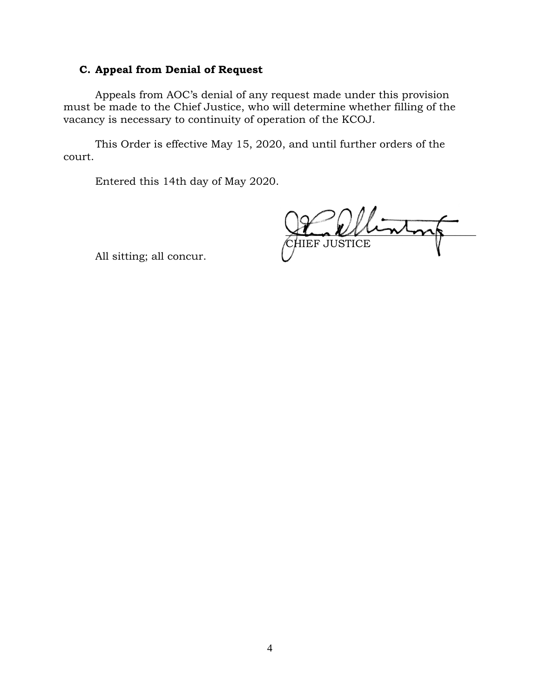## **C. Appeal from Denial of Request**

Appeals from AOC's denial of any request made under this provision must be made to the Chief Justice, who will determine whether filling of the vacancy is necessary to continuity of operation of the KCOJ.

This Order is effective May 15, 2020, and until further orders of the court.

Entered this 14th day of May 2020.

 $\sqrt{2\pi n^2}$ CHIEF JUSTICE

All sitting; all concur.